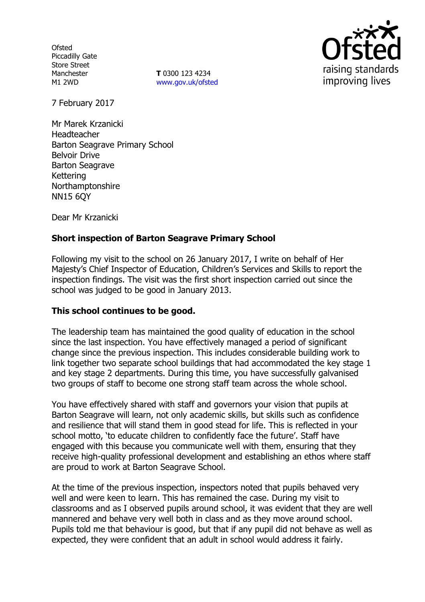**Ofsted** Piccadilly Gate Store Street Manchester M1 2WD

**T** 0300 123 4234 www.gov.uk/ofsted



7 February 2017

Mr Marek Krzanicki Headteacher Barton Seagrave Primary School Belvoir Drive Barton Seagrave Kettering Northamptonshire NN15 6QY

Dear Mr Krzanicki

# **Short inspection of Barton Seagrave Primary School**

Following my visit to the school on 26 January 2017, I write on behalf of Her Majesty"s Chief Inspector of Education, Children"s Services and Skills to report the inspection findings. The visit was the first short inspection carried out since the school was judged to be good in January 2013.

### **This school continues to be good.**

The leadership team has maintained the good quality of education in the school since the last inspection. You have effectively managed a period of significant change since the previous inspection. This includes considerable building work to link together two separate school buildings that had accommodated the key stage 1 and key stage 2 departments. During this time, you have successfully galvanised two groups of staff to become one strong staff team across the whole school.

You have effectively shared with staff and governors your vision that pupils at Barton Seagrave will learn, not only academic skills, but skills such as confidence and resilience that will stand them in good stead for life. This is reflected in your school motto, 'to educate children to confidently face the future'. Staff have engaged with this because you communicate well with them, ensuring that they receive high-quality professional development and establishing an ethos where staff are proud to work at Barton Seagrave School.

At the time of the previous inspection, inspectors noted that pupils behaved very well and were keen to learn. This has remained the case. During my visit to classrooms and as I observed pupils around school, it was evident that they are well mannered and behave very well both in class and as they move around school. Pupils told me that behaviour is good, but that if any pupil did not behave as well as expected, they were confident that an adult in school would address it fairly.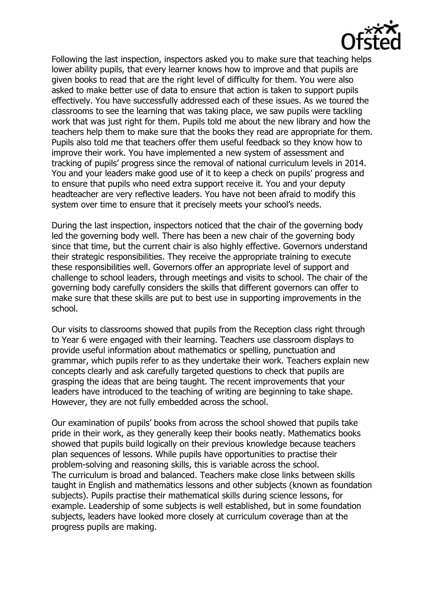

Following the last inspection, inspectors asked you to make sure that teaching helps lower ability pupils, that every learner knows how to improve and that pupils are given books to read that are the right level of difficulty for them. You were also asked to make better use of data to ensure that action is taken to support pupils effectively. You have successfully addressed each of these issues. As we toured the classrooms to see the learning that was taking place, we saw pupils were tackling work that was just right for them. Pupils told me about the new library and how the teachers help them to make sure that the books they read are appropriate for them. Pupils also told me that teachers offer them useful feedback so they know how to improve their work. You have implemented a new system of assessment and tracking of pupils" progress since the removal of national curriculum levels in 2014. You and your leaders make good use of it to keep a check on pupils" progress and to ensure that pupils who need extra support receive it. You and your deputy headteacher are very reflective leaders. You have not been afraid to modify this system over time to ensure that it precisely meets your school's needs.

During the last inspection, inspectors noticed that the chair of the governing body led the governing body well. There has been a new chair of the governing body since that time, but the current chair is also highly effective. Governors understand their strategic responsibilities. They receive the appropriate training to execute these responsibilities well. Governors offer an appropriate level of support and challenge to school leaders, through meetings and visits to school. The chair of the governing body carefully considers the skills that different governors can offer to make sure that these skills are put to best use in supporting improvements in the school.

Our visits to classrooms showed that pupils from the Reception class right through to Year 6 were engaged with their learning. Teachers use classroom displays to provide useful information about mathematics or spelling, punctuation and grammar, which pupils refer to as they undertake their work. Teachers explain new concepts clearly and ask carefully targeted questions to check that pupils are grasping the ideas that are being taught. The recent improvements that your leaders have introduced to the teaching of writing are beginning to take shape. However, they are not fully embedded across the school.

Our examination of pupils" books from across the school showed that pupils take pride in their work, as they generally keep their books neatly. Mathematics books showed that pupils build logically on their previous knowledge because teachers plan sequences of lessons. While pupils have opportunities to practise their problem-solving and reasoning skills, this is variable across the school. The curriculum is broad and balanced. Teachers make close links between skills taught in English and mathematics lessons and other subjects (known as foundation subjects). Pupils practise their mathematical skills during science lessons, for example. Leadership of some subjects is well established, but in some foundation subjects, leaders have looked more closely at curriculum coverage than at the progress pupils are making.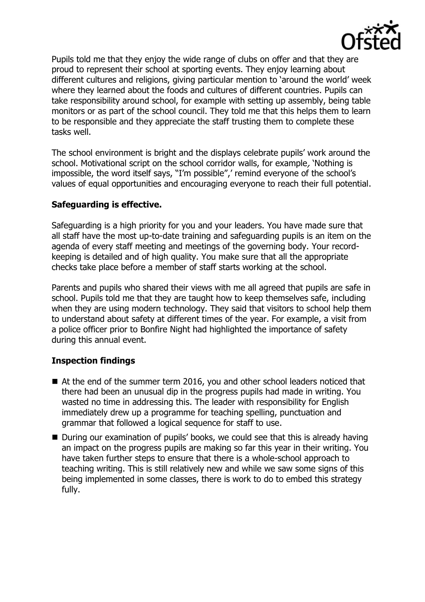

Pupils told me that they enjoy the wide range of clubs on offer and that they are proud to represent their school at sporting events. They enjoy learning about different cultures and religions, giving particular mention to "around the world" week where they learned about the foods and cultures of different countries. Pupils can take responsibility around school, for example with setting up assembly, being table monitors or as part of the school council. They told me that this helps them to learn to be responsible and they appreciate the staff trusting them to complete these tasks well.

The school environment is bright and the displays celebrate pupils' work around the school. Motivational script on the school corridor walls, for example, "Nothing is impossible, the word itself says, "I"m possible"," remind everyone of the school"s values of equal opportunities and encouraging everyone to reach their full potential.

### **Safeguarding is effective.**

Safeguarding is a high priority for you and your leaders. You have made sure that all staff have the most up-to-date training and safeguarding pupils is an item on the agenda of every staff meeting and meetings of the governing body. Your recordkeeping is detailed and of high quality. You make sure that all the appropriate checks take place before a member of staff starts working at the school.

Parents and pupils who shared their views with me all agreed that pupils are safe in school. Pupils told me that they are taught how to keep themselves safe, including when they are using modern technology. They said that visitors to school help them to understand about safety at different times of the year. For example, a visit from a police officer prior to Bonfire Night had highlighted the importance of safety during this annual event.

# **Inspection findings**

- At the end of the summer term 2016, you and other school leaders noticed that there had been an unusual dip in the progress pupils had made in writing. You wasted no time in addressing this. The leader with responsibility for English immediately drew up a programme for teaching spelling, punctuation and grammar that followed a logical sequence for staff to use.
- During our examination of pupils' books, we could see that this is already having an impact on the progress pupils are making so far this year in their writing. You have taken further steps to ensure that there is a whole-school approach to teaching writing. This is still relatively new and while we saw some signs of this being implemented in some classes, there is work to do to embed this strategy fully.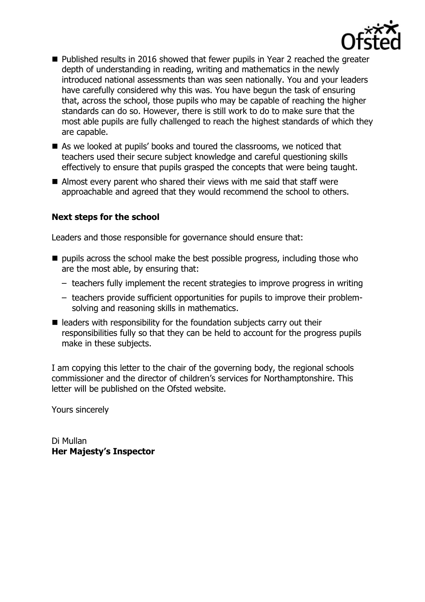

- Published results in 2016 showed that fewer pupils in Year 2 reached the greater depth of understanding in reading, writing and mathematics in the newly introduced national assessments than was seen nationally. You and your leaders have carefully considered why this was. You have begun the task of ensuring that, across the school, those pupils who may be capable of reaching the higher standards can do so. However, there is still work to do to make sure that the most able pupils are fully challenged to reach the highest standards of which they are capable.
- As we looked at pupils' books and toured the classrooms, we noticed that teachers used their secure subject knowledge and careful questioning skills effectively to ensure that pupils grasped the concepts that were being taught.
- Almost every parent who shared their views with me said that staff were approachable and agreed that they would recommend the school to others.

### **Next steps for the school**

Leaders and those responsible for governance should ensure that:

- $\blacksquare$  pupils across the school make the best possible progress, including those who are the most able, by ensuring that:
	- teachers fully implement the recent strategies to improve progress in writing
	- teachers provide sufficient opportunities for pupils to improve their problemsolving and reasoning skills in mathematics.
- $\blacksquare$  leaders with responsibility for the foundation subjects carry out their responsibilities fully so that they can be held to account for the progress pupils make in these subjects.

I am copying this letter to the chair of the governing body, the regional schools commissioner and the director of children"s services for Northamptonshire. This letter will be published on the Ofsted website.

Yours sincerely

Di Mullan **Her Majesty's Inspector**